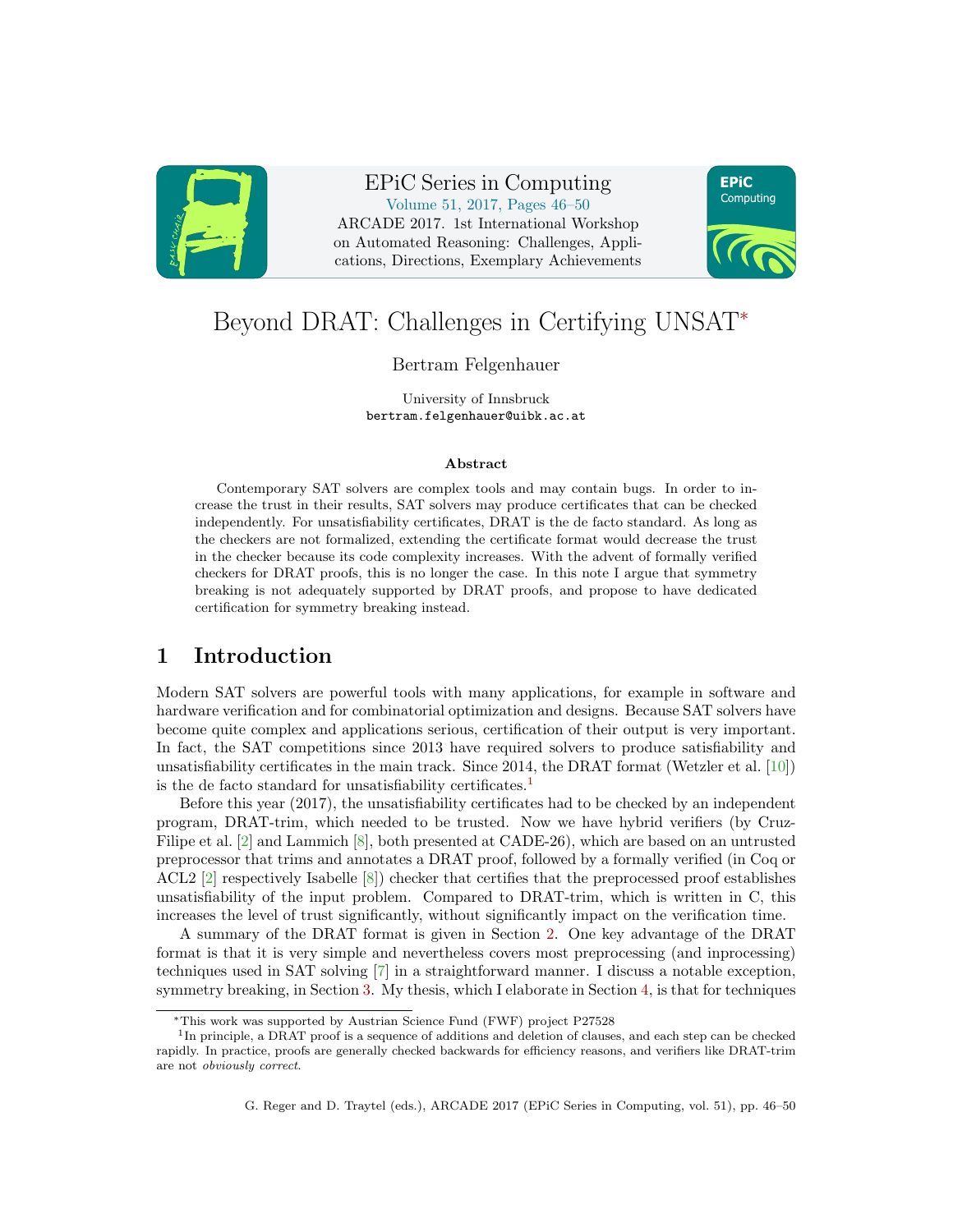

EPiC Series in Computing Volume 51, 2017, Pages 46–50 ARCADE 2017. 1st International Workshop on Automated Reasoning: Challenges, Applications, Directions, Exemplary Achievements



# Beyond DRAT: Challenges in Certifying UNSAT<sup>∗</sup>

#### Bertram Felgenhauer

University of Innsbruck bertram.felgenhauer@uibk.ac.at

#### Abstract

Contemporary SAT solvers are complex tools and may contain bugs. In order to increase the trust in their results, SAT solvers may produce certificates that can be checked independently. For unsatisfiability certificates, DRAT is the de facto standard. As long as the checkers are not formalized, extending the certificate format would decrease the trust in the checker because its code complexity increases. With the advent of formally verified checkers for DRAT proofs, this is no longer the case. In this note I argue that symmetry breaking is not adequately supported by DRAT proofs, and propose to have dedicated certification for symmetry breaking instead.

#### 1 Introduction

Modern SAT solvers are powerful tools with many applications, for example in software and hardware verification and for combinatorial optimization and designs. Because SAT solvers have become quite complex and applications serious, certification of their output is very important. In fact, the SAT competitions since 2013 have required solvers to produce satisfiability and unsatisfiability certificates in the main track. Since 2014, the DRAT format (Wetzler et al. [\[10\]](#page-4-0)) is the de facto standard for unsatisfiability certificates.<sup>[1](#page-0-0)</sup>

Before this year (2017), the unsatisfiability certificates had to be checked by an independent program, DRAT-trim, which needed to be trusted. Now we have hybrid verifiers (by Cruz-Filipe et al. [\[2\]](#page-4-1) and Lammich [\[8\]](#page-4-2), both presented at CADE-26), which are based on an untrusted preprocessor that trims and annotates a DRAT proof, followed by a formally verified (in Coq or ACL2 [\[2\]](#page-4-1) respectively Isabelle [\[8\]](#page-4-2)) checker that certifies that the preprocessed proof establishes unsatisfiability of the input problem. Compared to DRAT-trim, which is written in C, this increases the level of trust significantly, without significantly impact on the verification time.

A summary of the DRAT format is given in Section [2.](#page-1-0) One key advantage of the DRAT format is that it is very simple and nevertheless covers most preprocessing (and inprocessing) techniques used in SAT solving [\[7\]](#page-4-3) in a straightforward manner. I discuss a notable exception, symmetry breaking, in Section [3.](#page-1-1) My thesis, which I elaborate in Section [4,](#page-2-0) is that for techniques

<span id="page-0-0"></span><sup>∗</sup>This work was supported by Austrian Science Fund (FWF) project P27528

<sup>&</sup>lt;sup>1</sup>In principle, a DRAT proof is a sequence of additions and deletion of clauses, and each step can be checked rapidly. In practice, proofs are generally checked backwards for efficiency reasons, and verifiers like DRAT-trim are not obviously correct.

G. Reger and D. Traytel (eds.), ARCADE 2017 (EPiC Series in Computing, vol. 51), pp. 46–50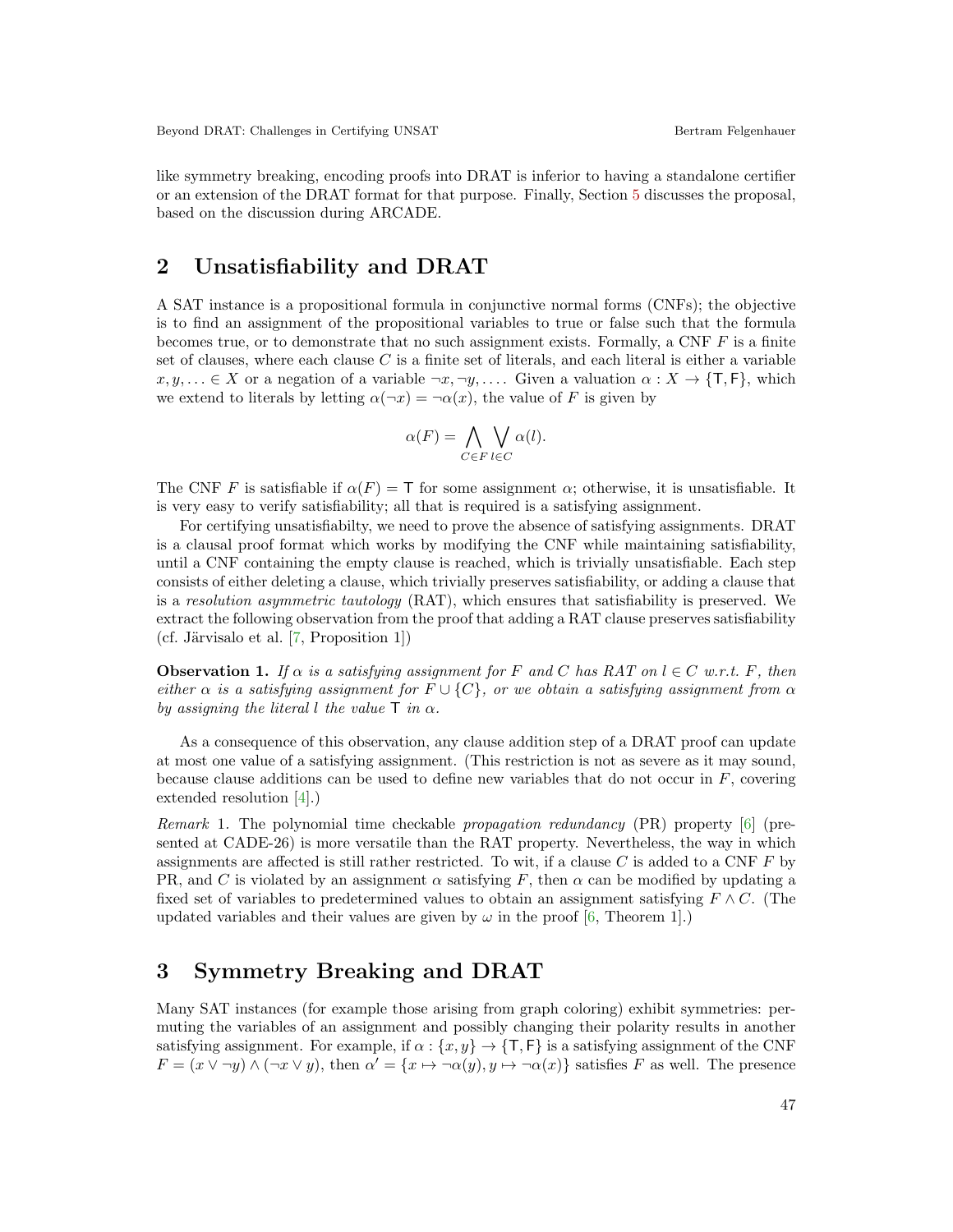like symmetry breaking, encoding proofs into DRAT is inferior to having a standalone certifier or an extension of the DRAT format for that purpose. Finally, Section [5](#page-3-0) discusses the proposal, based on the discussion during ARCADE.

#### <span id="page-1-0"></span>2 Unsatisfiability and DRAT

A SAT instance is a propositional formula in conjunctive normal forms (CNFs); the objective is to find an assignment of the propositional variables to true or false such that the formula becomes true, or to demonstrate that no such assignment exists. Formally, a CNF  $F$  is a finite set of clauses, where each clause  $C$  is a finite set of literals, and each literal is either a variable  $x, y, \ldots \in X$  or a negation of a variable  $\neg x, \neg y, \ldots$ . Given a valuation  $\alpha : X \to \{\mathsf{T}, \mathsf{F}\}\,$ , which we extend to literals by letting  $\alpha(\neg x) = \neg \alpha(x)$ , the value of F is given by

$$
\alpha(F) = \bigwedge_{C \in F} \bigvee_{l \in C} \alpha(l).
$$

The CNF F is satisfiable if  $\alpha(F) = \mathsf{T}$  for some assignment  $\alpha$ ; otherwise, it is unsatisfiable. It is very easy to verify satisfiability; all that is required is a satisfying assignment.

For certifying unsatisfiabilty, we need to prove the absence of satisfying assignments. DRAT is a clausal proof format which works by modifying the CNF while maintaining satisfiability, until a CNF containing the empty clause is reached, which is trivially unsatisfiable. Each step consists of either deleting a clause, which trivially preserves satisfiability, or adding a clause that is a resolution asymmetric tautology (RAT), which ensures that satisfiability is preserved. We extract the following observation from the proof that adding a RAT clause preserves satisfiability (cf. Järvisalo et al.  $[7,$  Proposition 1])

<span id="page-1-2"></span>**Observation 1.** If  $\alpha$  is a satisfying assignment for F and C has RAT on  $l \in C$  w.r.t. F, then either  $\alpha$  is a satisfying assignment for  $F \cup \{C\}$ , or we obtain a satisfying assignment from  $\alpha$ by assigning the literal l the value  $\mathsf T$  in  $\alpha$ .

As a consequence of this observation, any clause addition step of a DRAT proof can update at most one value of a satisfying assignment. (This restriction is not as severe as it may sound, because clause additions can be used to define new variables that do not occur in  $F$ , covering extended resolution [\[4\]](#page-4-4).)

<span id="page-1-3"></span>Remark 1. The polynomial time checkable propagation redundancy (PR) property [\[6\]](#page-4-5) (presented at CADE-26) is more versatile than the RAT property. Nevertheless, the way in which assignments are affected is still rather restricted. To wit, if a clause  $C$  is added to a CNF  $F$  by PR, and C is violated by an assignment  $\alpha$  satisfying F, then  $\alpha$  can be modified by updating a fixed set of variables to predetermined values to obtain an assignment satisfying  $F \wedge C$ . (The updated variables and their values are given by  $\omega$  in the proof [\[6,](#page-4-5) Theorem 1].)

### <span id="page-1-1"></span>3 Symmetry Breaking and DRAT

Many SAT instances (for example those arising from graph coloring) exhibit symmetries: permuting the variables of an assignment and possibly changing their polarity results in another satisfying assignment. For example, if  $\alpha$ :  $\{x, y\} \rightarrow \{\mathsf{T}, \mathsf{F}\}\$ is a satisfying assignment of the CNF  $F = (x \vee \neg y) \wedge (\neg x \vee y)$ , then  $\alpha' = \{x \mapsto \neg \alpha(y), y \mapsto \neg \alpha(x)\}$  satisfies F as well. The presence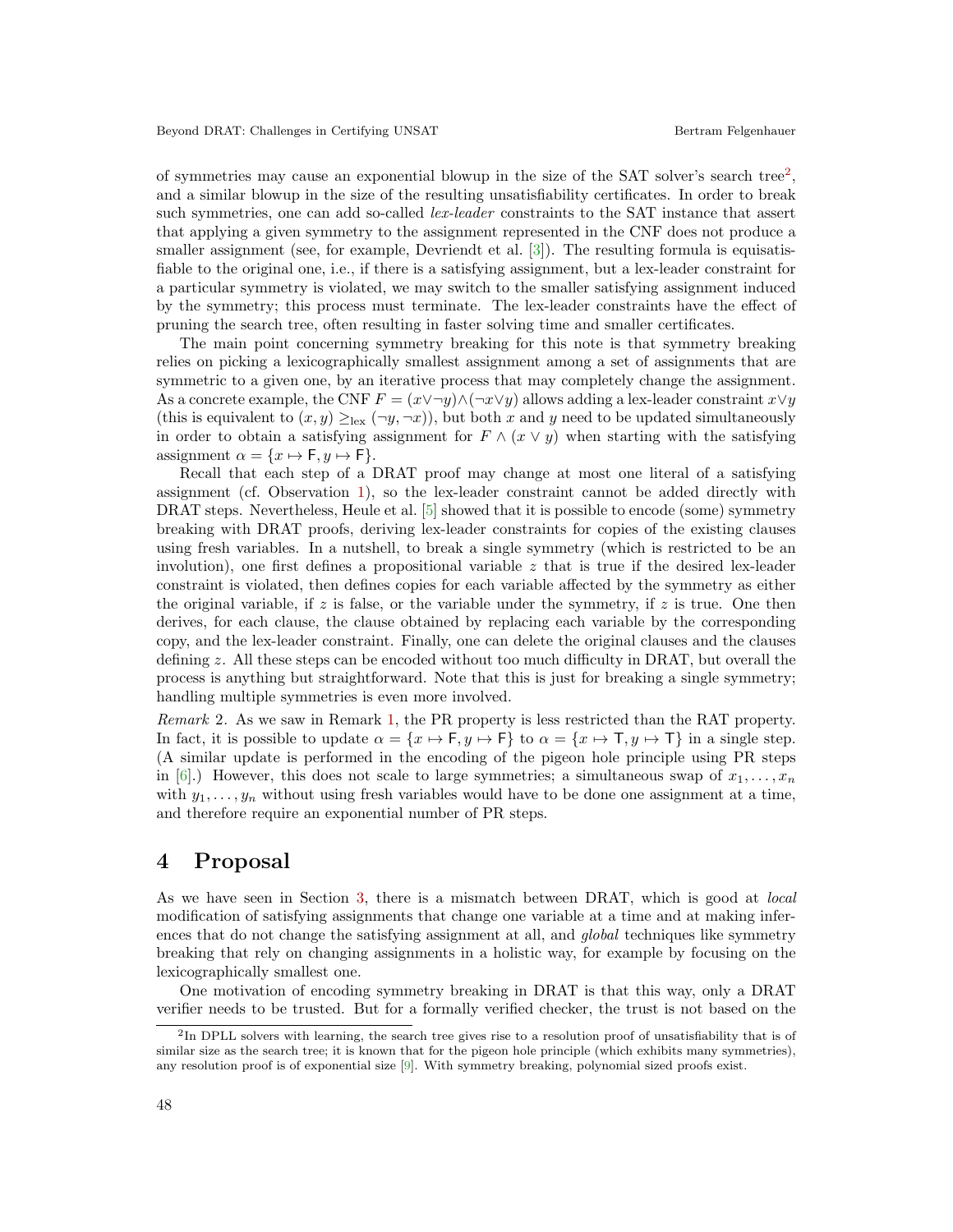of symmetries may cause an exponential blowup in the size of the SAT solver's search tree<sup>[2](#page-2-1)</sup>, and a similar blowup in the size of the resulting unsatisfiability certificates. In order to break such symmetries, one can add so-called *lex-leader* constraints to the SAT instance that assert that applying a given symmetry to the assignment represented in the CNF does not produce a smaller assignment (see, for example, Devriendt et al. [\[3\]](#page-4-6)). The resulting formula is equisatisfiable to the original one, i.e., if there is a satisfying assignment, but a lex-leader constraint for a particular symmetry is violated, we may switch to the smaller satisfying assignment induced by the symmetry; this process must terminate. The lex-leader constraints have the effect of pruning the search tree, often resulting in faster solving time and smaller certificates.

The main point concerning symmetry breaking for this note is that symmetry breaking relies on picking a lexicographically smallest assignment among a set of assignments that are symmetric to a given one, by an iterative process that may completely change the assignment. As a concrete example, the CNF  $F = (x \vee \neg y) \wedge (\neg x \vee y)$  allows adding a lex-leader constraint  $x \vee y$ (this is equivalent to  $(x, y) \geq_{\text{lex}} (\neg y, \neg x)$ ), but both x and y need to be updated simultaneously in order to obtain a satisfying assignment for  $F \wedge (x \vee y)$  when starting with the satisfying assignment  $\alpha = \{x \mapsto \mathsf{F}, y \mapsto \mathsf{F}\}.$ 

Recall that each step of a DRAT proof may change at most one literal of a satisfying assignment (cf. Observation [1\)](#page-1-2), so the lex-leader constraint cannot be added directly with DRAT steps. Nevertheless, Heule et al. [\[5\]](#page-4-7) showed that it is possible to encode (some) symmetry breaking with DRAT proofs, deriving lex-leader constraints for copies of the existing clauses using fresh variables. In a nutshell, to break a single symmetry (which is restricted to be an involution), one first defines a propositional variable  $z$  that is true if the desired lex-leader constraint is violated, then defines copies for each variable affected by the symmetry as either the original variable, if z is false, or the variable under the symmetry, if z is true. One then derives, for each clause, the clause obtained by replacing each variable by the corresponding copy, and the lex-leader constraint. Finally, one can delete the original clauses and the clauses defining z. All these steps can be encoded without too much difficulty in DRAT, but overall the process is anything but straightforward. Note that this is just for breaking a single symmetry; handling multiple symmetries is even more involved.

Remark 2. As we saw in Remark [1,](#page-1-3) the PR property is less restricted than the RAT property. In fact, it is possible to update  $\alpha = \{x \mapsto \mathsf{F}, y \mapsto \mathsf{F}\}\$  to  $\alpha = \{x \mapsto \mathsf{T}, y \mapsto \mathsf{T}\}\$  in a single step. (A similar update is performed in the encoding of the pigeon hole principle using PR steps in [\[6\]](#page-4-5).) However, this does not scale to large symmetries; a simultaneous swap of  $x_1, \ldots, x_n$ with  $y_1, \ldots, y_n$  without using fresh variables would have to be done one assignment at a time, and therefore require an exponential number of PR steps.

#### <span id="page-2-0"></span>4 Proposal

As we have seen in Section [3,](#page-1-1) there is a mismatch between DRAT, which is good at local modification of satisfying assignments that change one variable at a time and at making inferences that do not change the satisfying assignment at all, and *global* techniques like symmetry breaking that rely on changing assignments in a holistic way, for example by focusing on the lexicographically smallest one.

One motivation of encoding symmetry breaking in DRAT is that this way, only a DRAT verifier needs to be trusted. But for a formally verified checker, the trust is not based on the

<span id="page-2-1"></span><sup>&</sup>lt;sup>2</sup>In DPLL solvers with learning, the search tree gives rise to a resolution proof of unsatisfiability that is of similar size as the search tree; it is known that for the pigeon hole principle (which exhibits many symmetries), any resolution proof is of exponential size [\[9\]](#page-4-8). With symmetry breaking, polynomial sized proofs exist.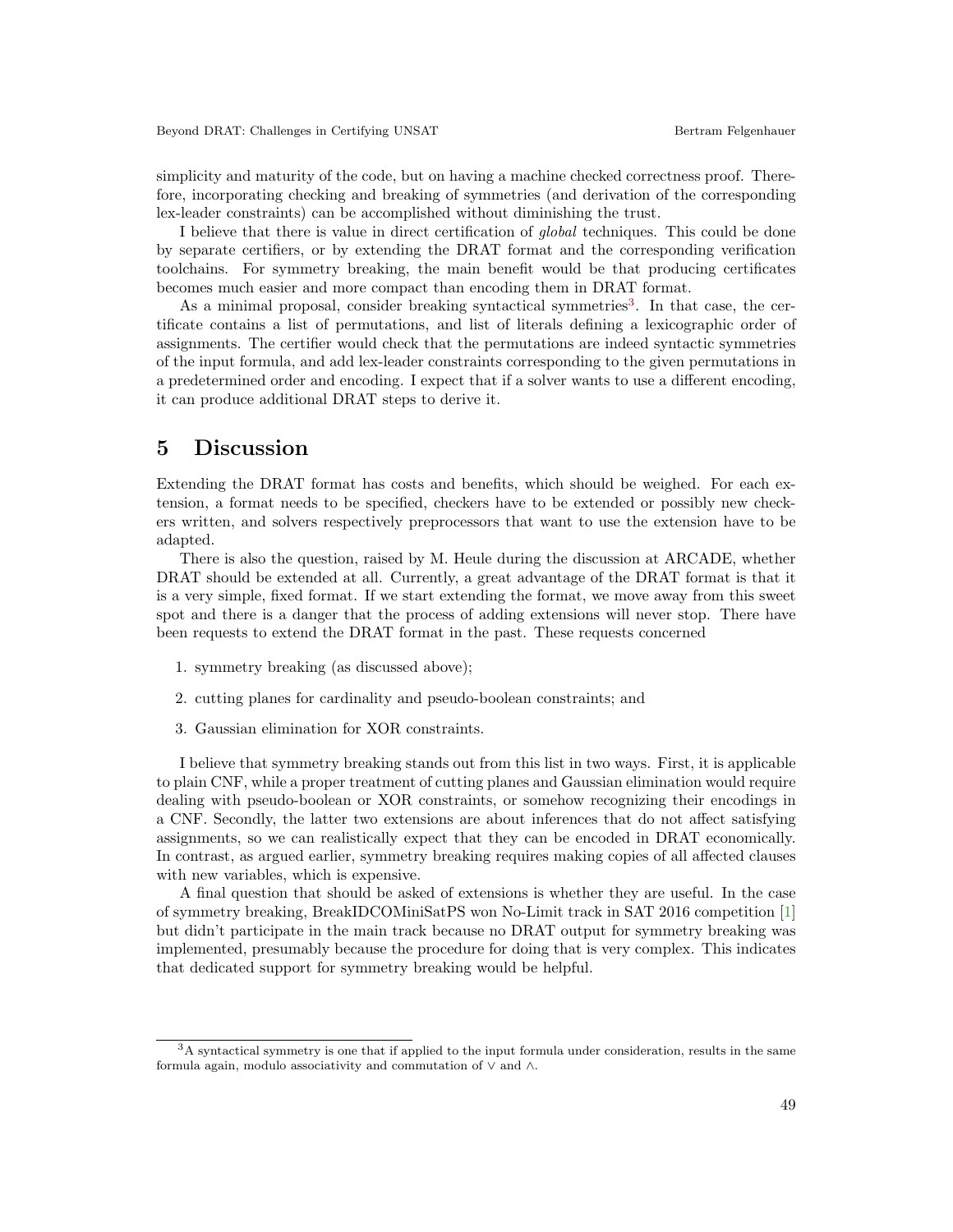simplicity and maturity of the code, but on having a machine checked correctness proof. Therefore, incorporating checking and breaking of symmetries (and derivation of the corresponding lex-leader constraints) can be accomplished without diminishing the trust.

I believe that there is value in direct certification of global techniques. This could be done by separate certifiers, or by extending the DRAT format and the corresponding verification toolchains. For symmetry breaking, the main benefit would be that producing certificates becomes much easier and more compact than encoding them in DRAT format.

As a minimal proposal, consider breaking syntactical symmetries<sup>[3](#page-3-1)</sup>. In that case, the certificate contains a list of permutations, and list of literals defining a lexicographic order of assignments. The certifier would check that the permutations are indeed syntactic symmetries of the input formula, and add lex-leader constraints corresponding to the given permutations in a predetermined order and encoding. I expect that if a solver wants to use a different encoding, it can produce additional DRAT steps to derive it.

## <span id="page-3-0"></span>5 Discussion

Extending the DRAT format has costs and benefits, which should be weighed. For each extension, a format needs to be specified, checkers have to be extended or possibly new checkers written, and solvers respectively preprocessors that want to use the extension have to be adapted.

There is also the question, raised by M. Heule during the discussion at ARCADE, whether DRAT should be extended at all. Currently, a great advantage of the DRAT format is that it is a very simple, fixed format. If we start extending the format, we move away from this sweet spot and there is a danger that the process of adding extensions will never stop. There have been requests to extend the DRAT format in the past. These requests concerned

- 1. symmetry breaking (as discussed above);
- 2. cutting planes for cardinality and pseudo-boolean constraints; and
- 3. Gaussian elimination for XOR constraints.

I believe that symmetry breaking stands out from this list in two ways. First, it is applicable to plain CNF, while a proper treatment of cutting planes and Gaussian elimination would require dealing with pseudo-boolean or XOR constraints, or somehow recognizing their encodings in a CNF. Secondly, the latter two extensions are about inferences that do not affect satisfying assignments, so we can realistically expect that they can be encoded in DRAT economically. In contrast, as argued earlier, symmetry breaking requires making copies of all affected clauses with new variables, which is expensive.

A final question that should be asked of extensions is whether they are useful. In the case of symmetry breaking, BreakIDCOMiniSatPS won No-Limit track in SAT 2016 competition [\[1\]](#page-4-9) but didn't participate in the main track because no DRAT output for symmetry breaking was implemented, presumably because the procedure for doing that is very complex. This indicates that dedicated support for symmetry breaking would be helpful.

<span id="page-3-1"></span><sup>3</sup>A syntactical symmetry is one that if applied to the input formula under consideration, results in the same formula again, modulo associativity and commutation of ∨ and ∧.